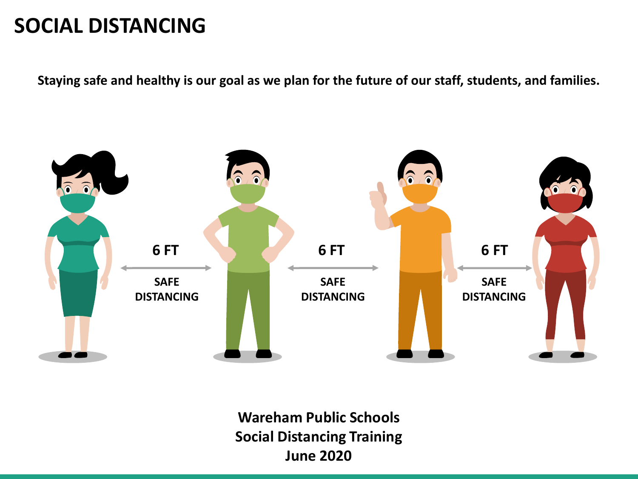**Staying safe and healthy is our goal as we plan for the future of our staff, students, and families.**



**Wareham Public Schools Social Distancing Training June 2020**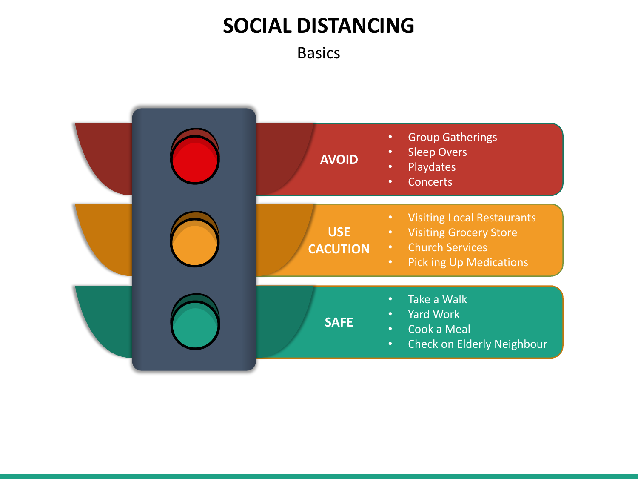Basics

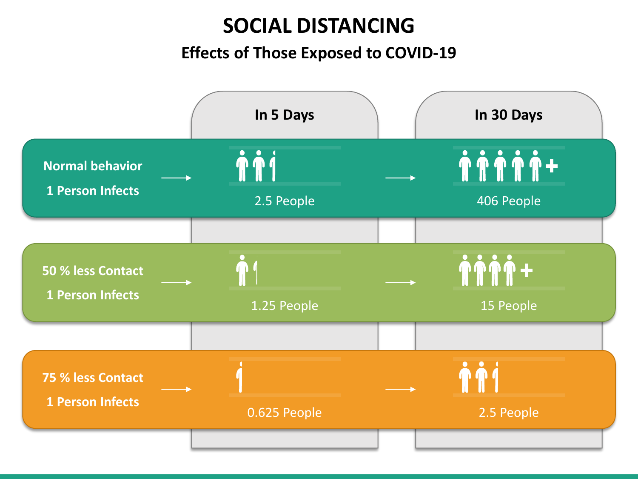#### **Effects of Those Exposed to COVID-19**

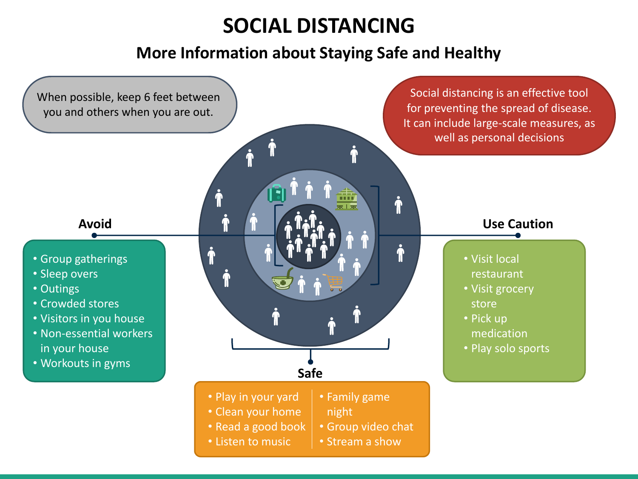#### **More Information about Staying Safe and Healthy**

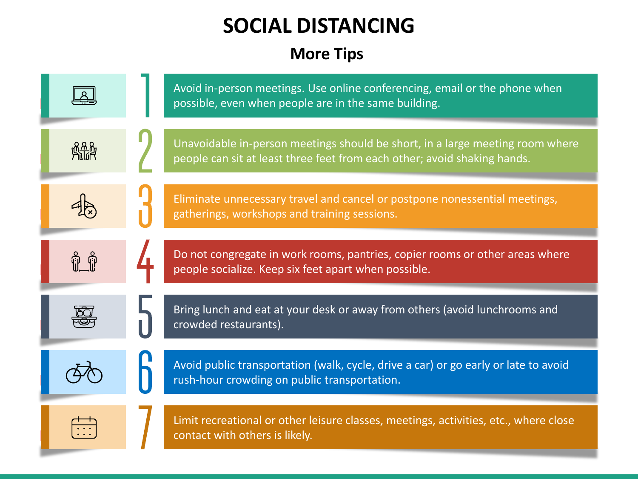#### **More Tips**

|             | Avoid in-person meetings. Use online conferencing, email or the phone when<br>possible, even when people are in the same building.                        |
|-------------|-----------------------------------------------------------------------------------------------------------------------------------------------------------|
| <b>Ande</b> | Unavoidable in-person meetings should be short, in a large meeting room where<br>people can sit at least three feet from each other; avoid shaking hands. |
|             | Eliminate unnecessary travel and cancel or postpone nonessential meetings,<br>gatherings, workshops and training sessions.                                |
| ဂှို ဂှို   | Do not congregate in work rooms, pantries, copier rooms or other areas where<br>people socialize. Keep six feet apart when possible.                      |
|             | Bring lunch and eat at your desk or away from others (avoid lunchrooms and<br>crowded restaurants).                                                       |
|             | Avoid public transportation (walk, cycle, drive a car) or go early or late to avoid<br>rush-hour crowding on public transportation.                       |
|             | Limit recreational or other leisure classes, meetings, activities, etc., where close<br>contact with others is likely.                                    |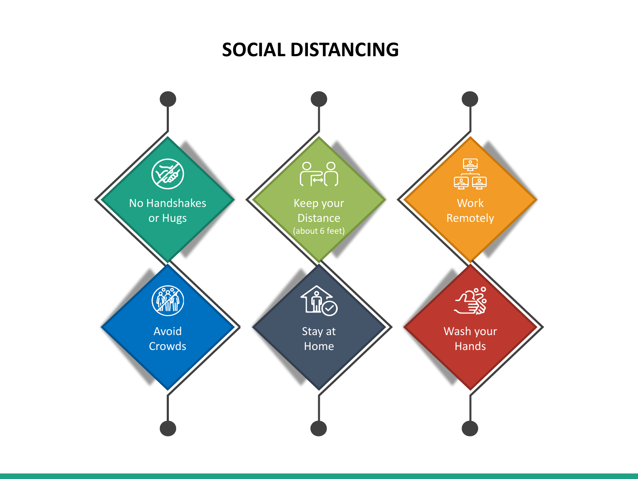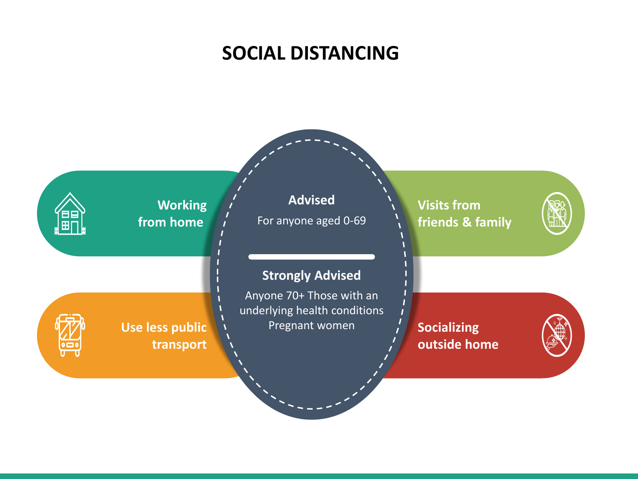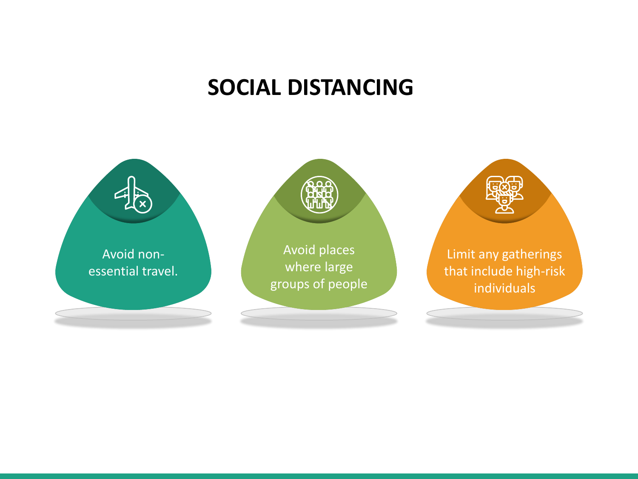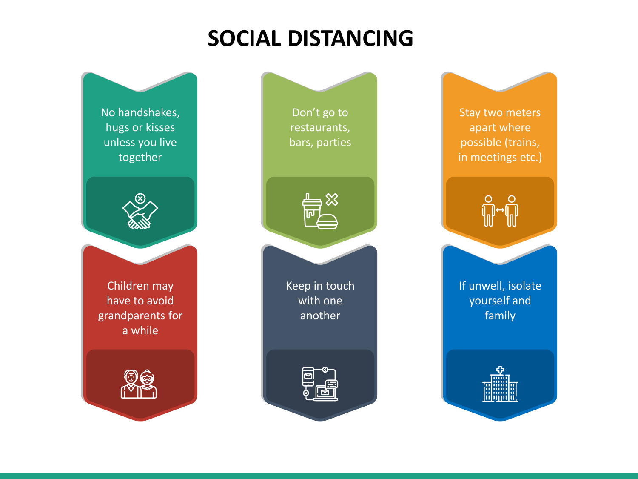